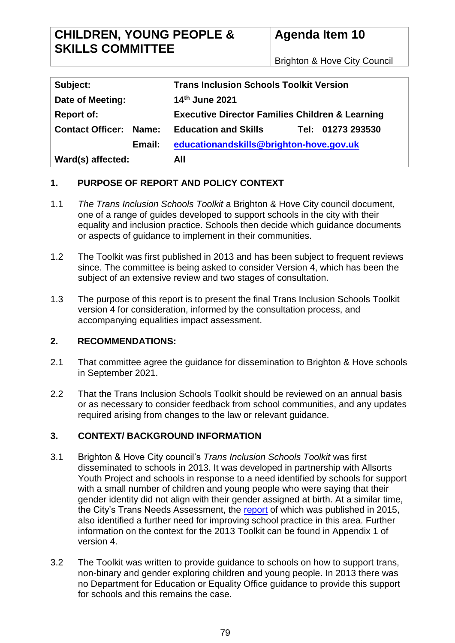# **CHILDREN, YOUNG PEOPLE & SKILLS COMMITTEE**

# **Agenda Item 10**

Brighton & Hove City Council

| Subject:                      | <b>Trans Inclusion Schools Toolkit Version</b>             |
|-------------------------------|------------------------------------------------------------|
| Date of Meeting:              | 14th June 2021                                             |
| <b>Report of:</b>             | <b>Executive Director Families Children &amp; Learning</b> |
| <b>Contact Officer: Name:</b> | <b>Education and Skills</b><br>Tel: 01273 293530           |
| Email:                        | educationandskills@brighton-hove.gov.uk                    |
| Ward(s) affected:             | All                                                        |

## **1. PURPOSE OF REPORT AND POLICY CONTEXT**

- 1.1 *The Trans Inclusion Schools Toolkit* a Brighton & Hove City council document, one of a range of guides developed to support schools in the city with their equality and inclusion practice. Schools then decide which guidance documents or aspects of guidance to implement in their communities.
- 1.2 The Toolkit was first published in 2013 and has been subject to frequent reviews since. The committee is being asked to consider Version 4, which has been the subject of an extensive review and two stages of consultation.
- 1.3 The purpose of this report is to present the final Trans Inclusion Schools Toolkit version 4 for consideration, informed by the consultation process, and accompanying equalities impact assessment.

## **2. RECOMMENDATIONS:**

- 2.1 That committee agree the guidance for dissemination to Brighton & Hove schools in September 2021.
- 2.2 That the Trans Inclusion Schools Toolkit should be reviewed on an annual basis or as necessary to consider feedback from school communities, and any updates required arising from changes to the law or relevant guidance.

# **3. CONTEXT/ BACKGROUND INFORMATION**

- 3.1 Brighton & Hove City council's *Trans Inclusion Schools Toolkit* was first disseminated to schools in 2013. It was developed in partnership with Allsorts Youth Project and schools in response to a need identified by schools for support with a small number of children and young people who were saying that their gender identity did not align with their gender assigned at birth. At a similar time, the City's Trans Needs Assessment, the [report](https://www.bhconnected.org.uk/sites/bhconnected/files/Brighton%20%26%20Hove%20Trans%20Needs%20Assessment%202015.pdf) of which was published in 2015, also identified a further need for improving school practice in this area. Further information on the context for the 2013 Toolkit can be found in Appendix 1 of version 4.
- 3.2 The Toolkit was written to provide guidance to schools on how to support trans, non-binary and gender exploring children and young people. In 2013 there was no Department for Education or Equality Office guidance to provide this support for schools and this remains the case.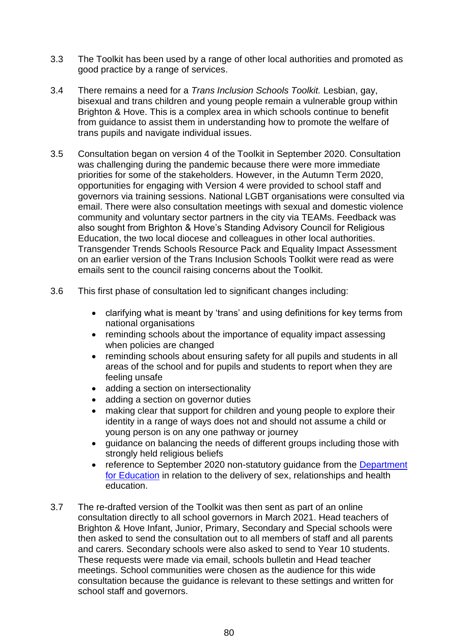- 3.3 The Toolkit has been used by a range of other local authorities and promoted as good practice by a range of services.
- 3.4 There remains a need for a *Trans Inclusion Schools Toolkit.* Lesbian, gay, bisexual and trans children and young people remain a vulnerable group within Brighton & Hove. This is a complex area in which schools continue to benefit from guidance to assist them in understanding how to promote the welfare of trans pupils and navigate individual issues.
- 3.5 Consultation began on version 4 of the Toolkit in September 2020. Consultation was challenging during the pandemic because there were more immediate priorities for some of the stakeholders. However, in the Autumn Term 2020, opportunities for engaging with Version 4 were provided to school staff and governors via training sessions. National LGBT organisations were consulted via email. There were also consultation meetings with sexual and domestic violence community and voluntary sector partners in the city via TEAMs. Feedback was also sought from Brighton & Hove's Standing Advisory Council for Religious Education, the two local diocese and colleagues in other local authorities. Transgender Trends Schools Resource Pack and Equality Impact Assessment on an earlier version of the Trans Inclusion Schools Toolkit were read as were emails sent to the council raising concerns about the Toolkit.
- 3.6 This first phase of consultation led to significant changes including:
	- clarifying what is meant by 'trans' and using definitions for key terms from national organisations
	- reminding schools about the importance of equality impact assessing when policies are changed
	- reminding schools about ensuring safety for all pupils and students in all areas of the school and for pupils and students to report when they are feeling unsafe
	- adding a section on intersectionality
	- adding a section on governor duties
	- making clear that support for children and young people to explore their identity in a range of ways does not and should not assume a child or young person is on any one pathway or journey
	- guidance on balancing the needs of different groups including those with strongly held religious beliefs
	- reference to September 2020 non-statutory quidance from the Department [for Education](https://www.gov.uk/guidance/plan-your-relationships-sex-and-health-curriculum) in relation to the delivery of sex, relationships and health education.
- 3.7 The re-drafted version of the Toolkit was then sent as part of an online consultation directly to all school governors in March 2021. Head teachers of Brighton & Hove Infant, Junior, Primary, Secondary and Special schools were then asked to send the consultation out to all members of staff and all parents and carers. Secondary schools were also asked to send to Year 10 students. These requests were made via email, schools bulletin and Head teacher meetings. School communities were chosen as the audience for this wide consultation because the guidance is relevant to these settings and written for school staff and governors.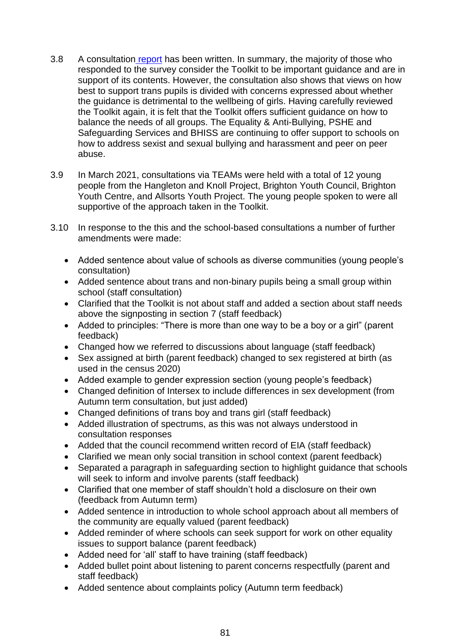- 3.8 A consultation [report](https://infogram.com/1pnjv9z79d1yvqbz3v7z7jl63dsm9lxv7d3?live) has been written. In summary, the majority of those who responded to the survey consider the Toolkit to be important guidance and are in support of its contents. However, the consultation also shows that views on how best to support trans pupils is divided with concerns expressed about whether the guidance is detrimental to the wellbeing of girls. Having carefully reviewed the Toolkit again, it is felt that the Toolkit offers sufficient guidance on how to balance the needs of all groups. The Equality & Anti-Bullying, PSHE and Safeguarding Services and BHISS are continuing to offer support to schools on how to address sexist and sexual bullying and harassment and peer on peer abuse.
- 3.9 In March 2021, consultations via TEAMs were held with a total of 12 young people from the Hangleton and Knoll Project, Brighton Youth Council, Brighton Youth Centre, and Allsorts Youth Project. The young people spoken to were all supportive of the approach taken in the Toolkit.
- 3.10 In response to the this and the school-based consultations a number of further amendments were made:
	- Added sentence about value of schools as diverse communities (young people's consultation)
	- Added sentence about trans and non-binary pupils being a small group within school (staff consultation)
	- Clarified that the Toolkit is not about staff and added a section about staff needs above the signposting in section 7 (staff feedback)
	- Added to principles: "There is more than one way to be a boy or a girl" (parent feedback)
	- Changed how we referred to discussions about language (staff feedback)
	- Sex assigned at birth (parent feedback) changed to sex registered at birth (as used in the census 2020)
	- Added example to gender expression section (young people's feedback)
	- Changed definition of Intersex to include differences in sex development (from Autumn term consultation, but just added)
	- Changed definitions of trans boy and trans girl (staff feedback)
	- Added illustration of spectrums, as this was not always understood in consultation responses
	- Added that the council recommend written record of EIA (staff feedback)
	- Clarified we mean only social transition in school context (parent feedback)
	- Separated a paragraph in safeguarding section to highlight guidance that schools will seek to inform and involve parents (staff feedback)
	- Clarified that one member of staff shouldn't hold a disclosure on their own (feedback from Autumn term)
	- Added sentence in introduction to whole school approach about all members of the community are equally valued (parent feedback)
	- Added reminder of where schools can seek support for work on other equality issues to support balance (parent feedback)
	- Added need for 'all' staff to have training (staff feedback)
	- Added bullet point about listening to parent concerns respectfully (parent and staff feedback)
	- Added sentence about complaints policy (Autumn term feedback)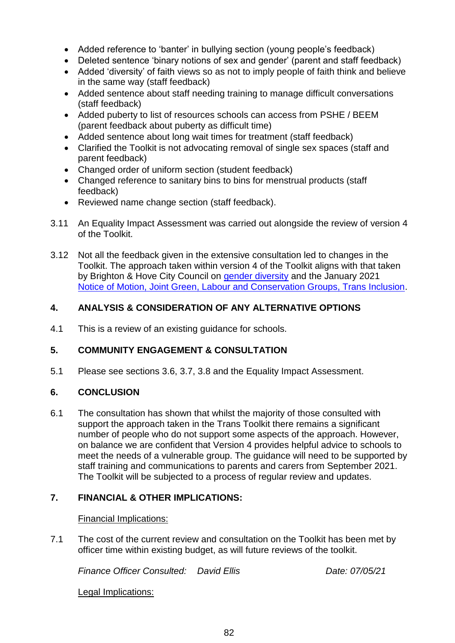- Added reference to 'banter' in bullying section (young people's feedback)
- Deleted sentence 'binary notions of sex and gender' (parent and staff feedback)
- Added 'diversity' of faith views so as not to imply people of faith think and believe in the same way (staff feedback)
- Added sentence about staff needing training to manage difficult conversations (staff feedback)
- Added puberty to list of resources schools can access from PSHE / BEEM (parent feedback about puberty as difficult time)
- Added sentence about long wait times for treatment (staff feedback)
- Clarified the Toolkit is not advocating removal of single sex spaces (staff and parent feedback)
- Changed order of uniform section (student feedback)
- Changed reference to sanitary bins to bins for menstrual products (staff feedback)
- Reviewed name change section (staff feedback).
- 3.11 An Equality Impact Assessment was carried out alongside the review of version 4 of the Toolkit.
- 3.12 Not all the feedback given in the extensive consultation led to changes in the Toolkit. The approach taken within version 4 of the Toolkit aligns with that taken by Brighton & Hove City Council on [gender diversity](https://www.brighton-hove.gov.uk/content/council-and-democracy/equality/gender-diversity-brighton-hove) and the January 2021 [Notice of Motion, Joint Green, Labour and Conservation Groups, Trans Inclusion.](https://present.brighton-hove.gov.uk/documents/s162132/Item%20102%20Trans%20Motion%20NoM%20Grn%20Lab%20ConGrp.pdf)

# **4. ANALYSIS & CONSIDERATION OF ANY ALTERNATIVE OPTIONS**

4.1 This is a review of an existing guidance for schools.

## **5. COMMUNITY ENGAGEMENT & CONSULTATION**

5.1 Please see sections 3.6, 3.7, 3.8 and the Equality Impact Assessment.

## **6. CONCLUSION**

6.1 The consultation has shown that whilst the majority of those consulted with support the approach taken in the Trans Toolkit there remains a significant number of people who do not support some aspects of the approach. However, on balance we are confident that Version 4 provides helpful advice to schools to meet the needs of a vulnerable group. The guidance will need to be supported by staff training and communications to parents and carers from September 2021. The Toolkit will be subjected to a process of regular review and updates.

## **7. FINANCIAL & OTHER IMPLICATIONS:**

## Financial Implications:

7.1 The cost of the current review and consultation on the Toolkit has been met by officer time within existing budget, as will future reviews of the toolkit.

*Finance Officer Consulted: David Ellis Date: 07/05/21*

Legal Implications: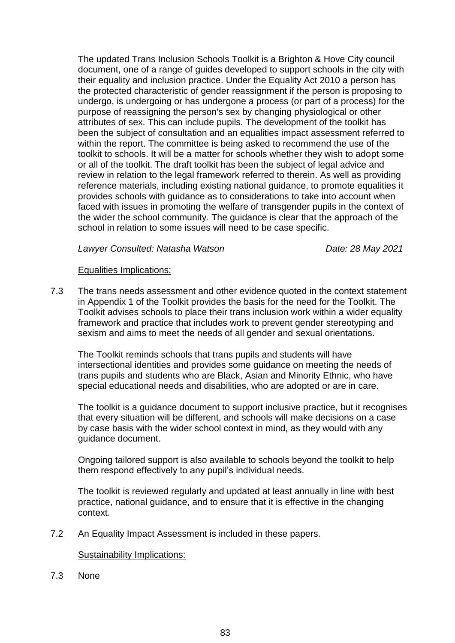The updated Trans Inclusion Schools Toolkit is a Brighton & Hove City council document, one of a range of guides developed to support schools in the city with their equality and inclusion practice. Under the Equality Act 2010 a person has the protected characteristic of gender reassignment if the person is proposing to undergo, is undergoing or has undergone a process (or part of a process) for the purpose of reassigning the person's sex by changing physiological or other attributes of sex. This can include pupils. The development of the toolkit has been the subject of consultation and an equalities impact assessment referred to within the report. The committee is being asked to recommend the use of the toolkit to schools. It will be a matter for schools whether they wish to adopt some or all of the toolkit. The draft toolkit has been the subject of legal advice and review in relation to the legal framework referred to therein. As well as providing reference materials, including existing national guidance, to promote equalities it provides schools with guidance as to considerations to take into account when faced with issues in promoting the welfare of transgender pupils in the context of the wider the school community. The guidance is clear that the approach of the school in relation to some issues will need to be case specific.

#### *Lawyer Consulted: Natasha Watson Date: 28 May 2021*

#### Equalities Implications:

7.3 The trans needs assessment and other evidence quoted in the context statement in Appendix 1 of the Toolkit provides the basis for the need for the Toolkit. The Toolkit advises schools to place their trans inclusion work within a wider equality framework and practice that includes work to prevent gender stereotyping and sexism and aims to meet the needs of all gender and sexual orientations.

The Toolkit reminds schools that trans pupils and students will have intersectional identities and provides some guidance on meeting the needs of trans pupils and students who are Black, Asian and Minority Ethnic, who have special educational needs and disabilities, who are adopted or are in care.

The toolkit is a guidance document to support inclusive practice, but it recognises that every situation will be different, and schools will make decisions on a case by case basis with the wider school context in mind, as they would with any guidance document.

Ongoing tailored support is also available to schools beyond the toolkit to help them respond effectively to any pupil's individual needs.

The toolkit is reviewed regularly and updated at least annually in line with best practice, national guidance, and to ensure that it is effective in the changing context.

7.2 An Equality Impact Assessment is included in these papers.

#### Sustainability Implications:

7.3 None